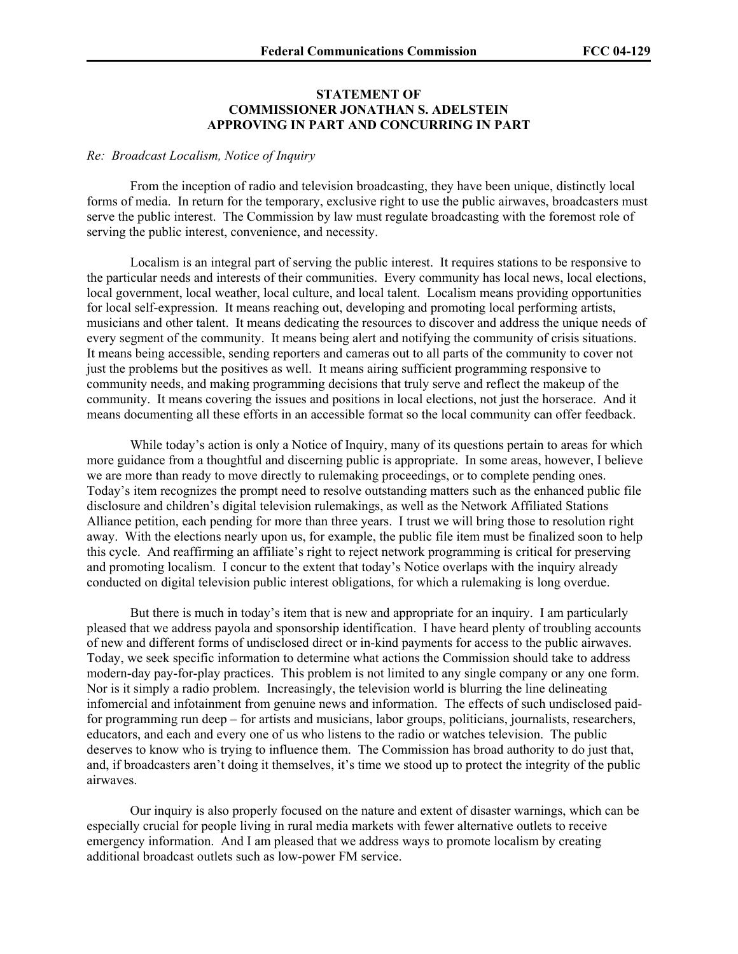## **STATEMENT OF COMMISSIONER JONATHAN S. ADELSTEIN APPROVING IN PART AND CONCURRING IN PART**

## *Re: Broadcast Localism, Notice of Inquiry*

From the inception of radio and television broadcasting, they have been unique, distinctly local forms of media. In return for the temporary, exclusive right to use the public airwaves, broadcasters must serve the public interest. The Commission by law must regulate broadcasting with the foremost role of serving the public interest, convenience, and necessity.

Localism is an integral part of serving the public interest. It requires stations to be responsive to the particular needs and interests of their communities. Every community has local news, local elections, local government, local weather, local culture, and local talent. Localism means providing opportunities for local self-expression. It means reaching out, developing and promoting local performing artists, musicians and other talent. It means dedicating the resources to discover and address the unique needs of every segment of the community. It means being alert and notifying the community of crisis situations. It means being accessible, sending reporters and cameras out to all parts of the community to cover not just the problems but the positives as well. It means airing sufficient programming responsive to community needs, and making programming decisions that truly serve and reflect the makeup of the community. It means covering the issues and positions in local elections, not just the horserace. And it means documenting all these efforts in an accessible format so the local community can offer feedback.

While today's action is only a Notice of Inquiry, many of its questions pertain to areas for which more guidance from a thoughtful and discerning public is appropriate. In some areas, however, I believe we are more than ready to move directly to rulemaking proceedings, or to complete pending ones. Today's item recognizes the prompt need to resolve outstanding matters such as the enhanced public file disclosure and children's digital television rulemakings, as well as the Network Affiliated Stations Alliance petition, each pending for more than three years. I trust we will bring those to resolution right away. With the elections nearly upon us, for example, the public file item must be finalized soon to help this cycle. And reaffirming an affiliate's right to reject network programming is critical for preserving and promoting localism. I concur to the extent that today's Notice overlaps with the inquiry already conducted on digital television public interest obligations, for which a rulemaking is long overdue.

But there is much in today's item that is new and appropriate for an inquiry. I am particularly pleased that we address payola and sponsorship identification. I have heard plenty of troubling accounts of new and different forms of undisclosed direct or in-kind payments for access to the public airwaves. Today, we seek specific information to determine what actions the Commission should take to address modern-day pay-for-play practices. This problem is not limited to any single company or any one form. Nor is it simply a radio problem. Increasingly, the television world is blurring the line delineating infomercial and infotainment from genuine news and information. The effects of such undisclosed paidfor programming run deep – for artists and musicians, labor groups, politicians, journalists, researchers, educators, and each and every one of us who listens to the radio or watches television. The public deserves to know who is trying to influence them. The Commission has broad authority to do just that, and, if broadcasters aren't doing it themselves, it's time we stood up to protect the integrity of the public airwaves.

Our inquiry is also properly focused on the nature and extent of disaster warnings, which can be especially crucial for people living in rural media markets with fewer alternative outlets to receive emergency information. And I am pleased that we address ways to promote localism by creating additional broadcast outlets such as low-power FM service.